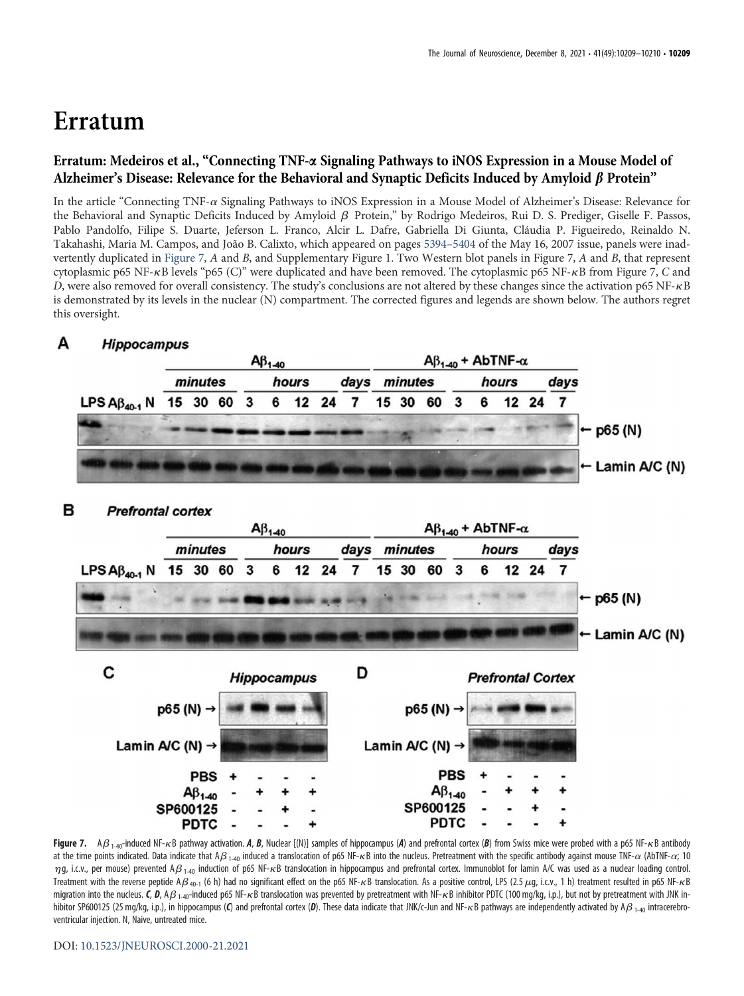## Erratum

## Erratum: Medeiros et al., "Connecting TNF-a Signaling Pathways to iNOS Expression in a Mouse Model of Alzheimer's Disease: Relevance for the Behavioral and Synaptic Deficits Induced by Amyloid  $\beta$  Protein"

In the article "Connecting TNF- $\alpha$  Signaling Pathways to iNOS Expression in a Mouse Model of Alzheimer's Disease: Relevance for the Behavioral and Synaptic Deficits Induced by Amyloid  $\beta$  Protein," by Rodrigo Medeiros, Rui D. S. Prediger, Giselle F. Passos, Pablo Pandolfo, Filipe S. Duarte, Jeferson L. Franco, Alcir L. Dafre, Gabriella Di Giunta, Cláudia P. Figueiredo, Reinaldo N. Takahashi, Maria M. Campos, and João B. Calixto, which appeared on pages [5394](https://doi.org/10.1523/JNEUROSCI.5047-06.2007)–5404 of the May 16, 2007 issue, panels were inadvertently duplicated in [Figure 7](#page-0-0), A and B, and Supplementary Figure 1. Two Western blot panels in Figure 7, A and B, that represent cytoplasmic p65 NF- $\kappa$ B levels "p65 (C)" were duplicated and have been removed. The cytoplasmic p65 NF- $\kappa$ B from Figure 7, C and D, were also removed for overall consistency. The study's conclusions are not altered by these changes since the activation p65 NF-kB is demonstrated by its levels in the nuclear (N) compartment. The corrected figures and legends are shown below. The authors regret this oversight.



<span id="page-0-0"></span>Figure 7. A $\beta_{1-40}$ -induced NF- $\kappa$ B pathway activation. A, B, Nuclear [(N)] samples of hippocampus (A) and prefrontal cortex (B) from Swiss mice were probed with a p65 NF- $\kappa$ B antibody at the time points indicated. Data indicate that A $\beta_{1-40}$  induced a translocation of p65 NF- $\kappa$ B into the nucleus. Pretreatment with the specific antibody against mouse TNF- $\alpha$  (AbTNF- $\alpha$ ; 10  $\eta$ g, i.c.v., per mouse) prevented A $\beta_{1-40}$  induction of p65 NF-kB translocation in hippocampus and prefrontal cortex. Immunoblot for lamin A/C was used as a nuclear loading control. Treatment with the reverse peptide A $\beta$  40-1 (6 h) had no significant effect on the p65 NF- $\kappa$ B translocation. As a positive control, LPS (2.5  $\mu$ g, i.c.v., 1 h) treatment resulted in p65 NF- $\kappa$ B migration into the nucleus. C, D, A $\beta$  1-40-induced p65 NF- $\kappa$ B translocation was prevented by pretreatment with NF- $\kappa$ B inhibitor PDTC (100 mg/kg, i.p.), but not by pretreatment with JNK inhibitor SP600125 (25 mg/kg, i.p.), in hippocampus (C) and prefrontal cortex (D). These data indicate that JNK/c-Jun and NF- $\kappa$ B pathways are independently activated by A $\beta_{1-40}$  intracerebroventricular injection. N, Naive, untreated mice.